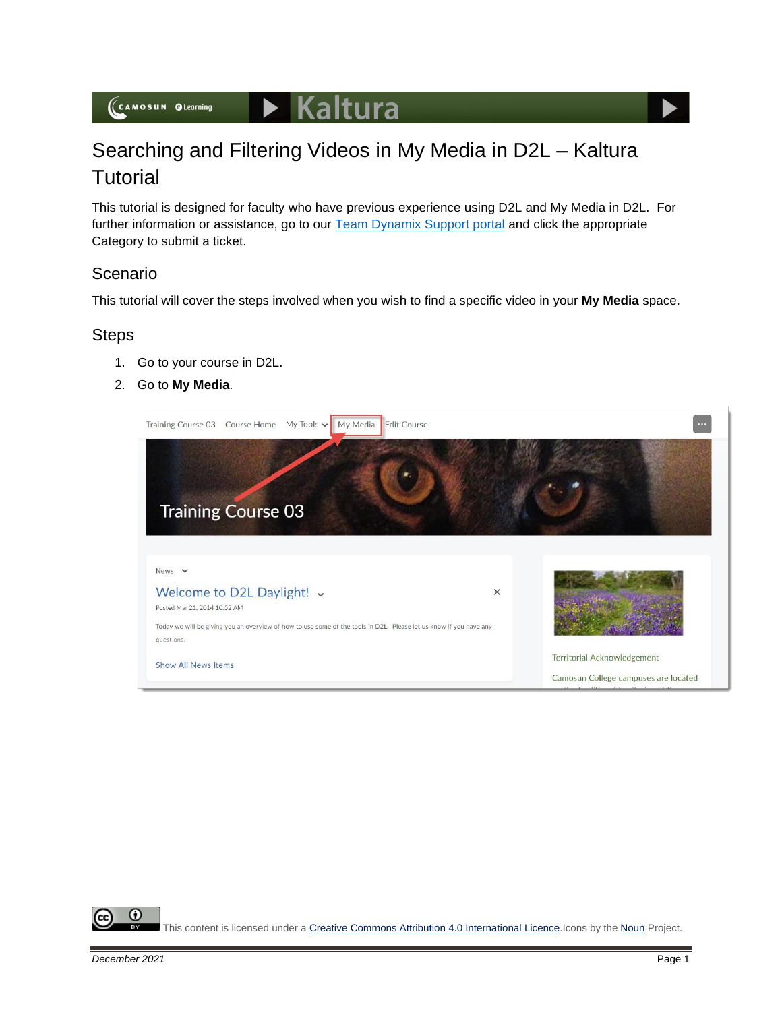## $\triangleright$  Kaltura

# Searching and Filtering Videos in My Media in D2L – Kaltura **Tutorial**

This tutorial is designed for faculty who have previous experience using D2L and My Media in D2L. For further information or assistance, go to our [Team Dynamix Support portal](https://camosun.teamdynamix.com/TDClient/67/Portal/Requests/ServiceCatalog?CategoryID=523) and click the appropriate Category to submit a ticket.

### Scenario

This tutorial will cover the steps involved when you wish to find a specific video in your **My Media** space.

#### **Steps**

- 1. Go to your course in D2L.
- 2. Go to **My Media**.



⋒ This content is licensed under [a Creative Commons Attribution 4.0 International Licence.I](https://creativecommons.org/licenses/by/4.0/)cons by the [Noun](https://creativecommons.org/website-icons/) Project.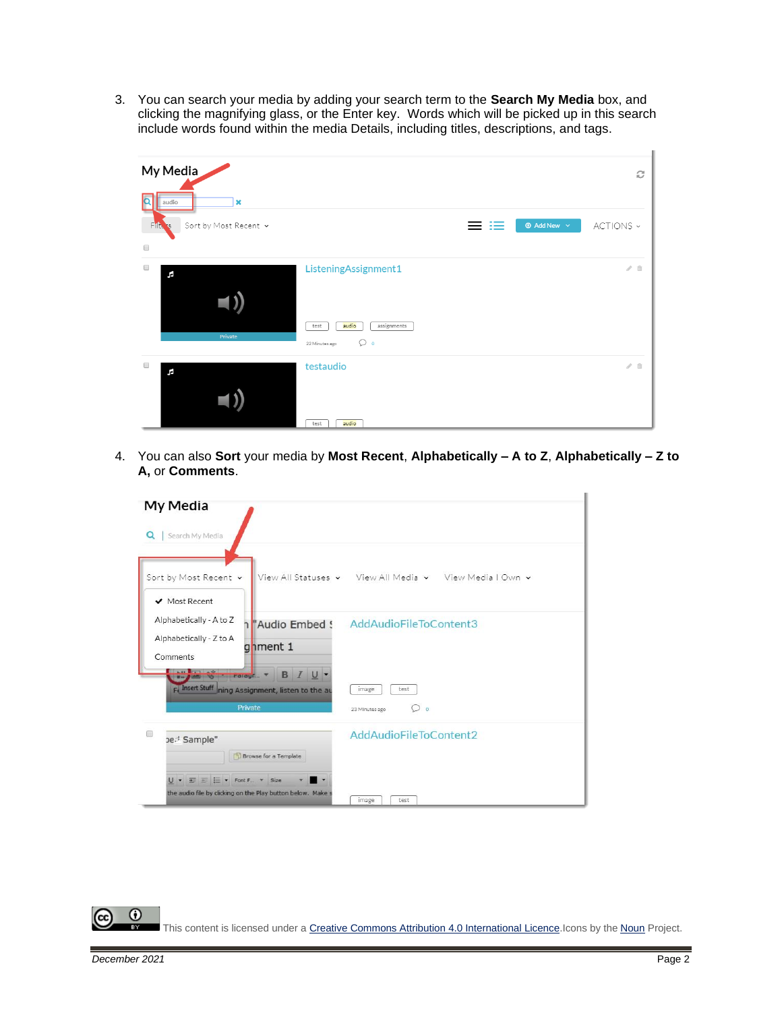3. You can search your media by adding your search term to the **Search My Media** box, and clicking the magnifying glass, or the Enter key. Words which will be picked up in this search include words found within the media Details, including titles, descriptions, and tags.



4. You can also **Sort** your media by **Most Recent**, **Alphabetically – A to Z**, **Alphabetically – Z to A,** or **Comments**.

| My Media                                                                                                                                                                                                                           |                                                                  |
|------------------------------------------------------------------------------------------------------------------------------------------------------------------------------------------------------------------------------------|------------------------------------------------------------------|
| Search My Media<br>$\alpha$                                                                                                                                                                                                        |                                                                  |
| Sort by Most Recent v<br>$\vee$ Most Recent                                                                                                                                                                                        | View All Statuses v View All Media v View Media I Own v          |
| Alphabetically - A to Z<br>1 Audio Embed !<br>Alphabetically - Z to A<br>gnment 1<br>Comments<br><b>The confirmation</b><br><b>B</b> <i>I</i> U -<br><b>Parauf</b><br>Fl Insert Stuff ning Assignment, listen to the au<br>Private | AddAudioFileToContent3                                           |
|                                                                                                                                                                                                                                    | test<br>image<br>$\overline{\phantom{a}}$<br>○<br>23 Minutes ago |
| ∩<br>ped Sample"<br><b>Browse for a Template</b>                                                                                                                                                                                   | AddAudioFileToContent2                                           |
| E E + Font F *<br>Size<br>the audio file by clicking on the Play button below. Make s                                                                                                                                              | test<br>image                                                    |

 $\odot$ This content is licensed under [a Creative Commons Attribution 4.0 International Licence.I](https://creativecommons.org/licenses/by/4.0/)cons by the [Noun](https://creativecommons.org/website-icons/) Project.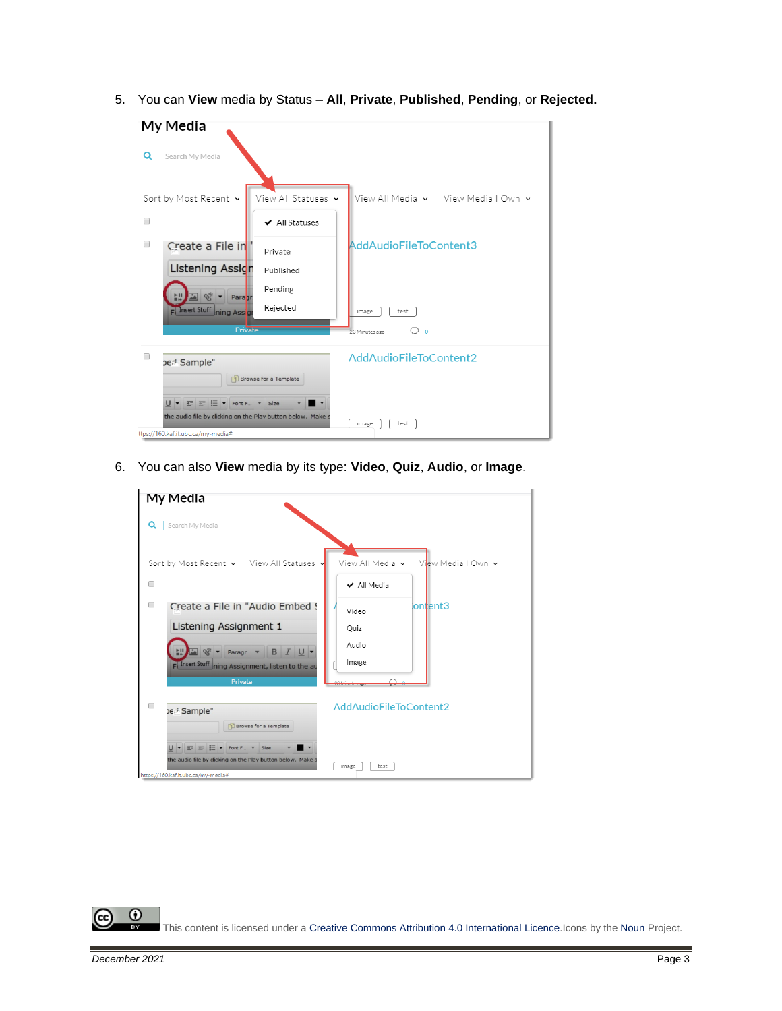5. You can **View** media by Status – **All**, **Private**, **Published**, **Pending**, or **Rejected.**



6. You can also **View** media by its type: **Video**, **Quiz**, **Audio**, or **Image**.

| My Media                                                                                                                                                                                                                    |                                                       |
|-----------------------------------------------------------------------------------------------------------------------------------------------------------------------------------------------------------------------------|-------------------------------------------------------|
| Search My Media<br>Q                                                                                                                                                                                                        |                                                       |
| Sort by Most Recent v View All Statuses<br>□                                                                                                                                                                                | View All Media v<br>View Media I Own v<br>✔ All Media |
| Create a File in "Audio Embed !<br>□<br>Listening Assignment 1<br>B I U -<br>$\frac{1}{2}$ $\frac{1}{2}$<br>Paragr v<br>FJ Insert Stuff ning Assignment, listen to the au<br>Private                                        | ontent3<br>Video<br>Quiz<br>Audio<br>Image            |
| ∩<br>Ded Sample"<br><b>Browse for a Template</b><br>$U - \frac{1}{2}$ = $\frac{1}{2}$ = $\frac{1}{2}$ + Font F + Size<br>the audio file by clicking on the Play button below. Make s<br>https://160.kaf.it.ubc.ca/my-media# | AddAudioFileToContent2<br>test<br>image               |

 $\odot$ This content is licensed under [a Creative Commons Attribution 4.0 International Licence.I](https://creativecommons.org/licenses/by/4.0/)cons by the [Noun](https://creativecommons.org/website-icons/) Project.